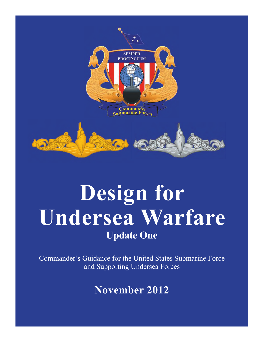

# **Design for Undersea Warfare Update One**

Commander's Guidance for the United States Submarine Force and Supporting Undersea Forces

**November 2012**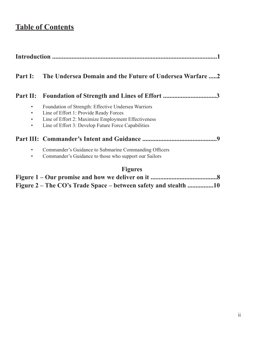# **Table of Contents**

| Part I:                                                         | The Undersea Domain and the Future of Undersea Warfare 2                                                                                                                                                    |
|-----------------------------------------------------------------|-------------------------------------------------------------------------------------------------------------------------------------------------------------------------------------------------------------|
|                                                                 | Part II: Foundation of Strength and Lines of Effort 3                                                                                                                                                       |
| $\bullet$<br>$\bullet$<br>$\bullet$<br>$\bullet$                | Foundation of Strength: Effective Undersea Warriors<br>Line of Effort 1: Provide Ready Forces<br>Line of Effort 2: Maximize Employment Effectiveness<br>Line of Effort 3: Develop Future Force Capabilities |
|                                                                 |                                                                                                                                                                                                             |
| $\bullet$<br>$\bullet$                                          | Commander's Guidance to Submarine Commanding Officers<br>Commander's Guidance to those who support our Sailors                                                                                              |
|                                                                 | <b>Figures</b>                                                                                                                                                                                              |
|                                                                 |                                                                                                                                                                                                             |
| Figure 2 – The CO's Trade Space – between safety and stealth 10 |                                                                                                                                                                                                             |

J.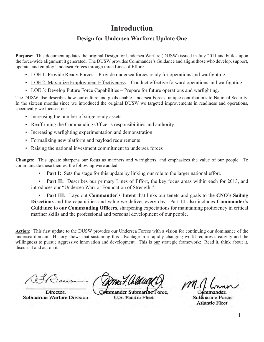# **Design for Undersea Warfare: Update One**

**Purpose:** This document updates the original Design for Undersea Warfare (DUSW) issued in July 2011 and builds upon the force-wide alignment it generated. The DUSW provides Commander's Guidance and aligns those who develop, support, operate, and employ Undersea Forces through three Lines of Effort:

- LOE 1: Provide Ready Forces Provide undersea forces ready for operations and warfighting.
- LOE 2: Maximize Employment Effectiveness Conduct effective forward operations and warfighting.
- LOE 3: Develop Future Force Capabilities Prepare for future operations and warfighting.

The DUSW also describes how our culture and goals enable Undersea Forces' unique contributions to National Security. In the sixteen months since we introduced the original DUSW we targeted improvements in readiness and operations, specifically we focused on:

- Increasing the number of surge ready assets
- Reaffirming the Commanding Officer's responsibilities and authority
- Increasing warfighting experimentation and demonstration
- Formalizing new platform and payload requirements
- Raising the national investment commitment to undersea forces

**Changes:** This update sharpens our focus as mariners and warfighters, and emphasizes the value of our people. To communicate these themes, the following were added:

• **Part I:** Sets the stage for this update by linking our role to the larger national effort.

• **Part II:** Describes our primary Lines of Effort, the key focus areas within each for 2013, and introduces our "Undersea Warrior Foundation of Strength."

• **Part III:** Lays out **Commander's Intent** that links our tenets and goals to the **CNO's Sailing Directions** and the capabilities and value we deliver every day. Part III also includes **Commander's Guidance to our Commanding Officers,** sharpening expectations for maintaining proficiency in critical mariner skills and the professional and personal development of our people.

**Action:** This first update to the DUSW provides our Undersea Forces with a vision for continuing our dominance of the undersea domain. History shows that sustaining this advantage in a rapidly changing world requires creativity and the willingness to pursue aggressive innovation and development. This is our strategic framework: Read it, think about it, discuss it and act on it.

 $\triangle$   $\triangle$ Director,

Director. Submarine Warfare Division

 $\Delta$   $\Delta$   $\Delta$   $\Delta$  $C_{\text{eff}}$ 

Commander Submarine Force. U.S. Pacific Fleet

 $\blacksquare$  $\mu$ 

mmander. Submarine Force  $\overline{\phantom{a}}$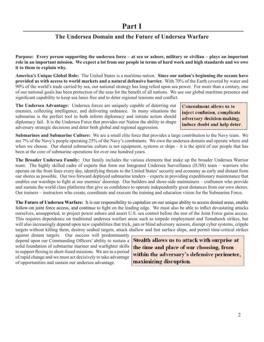# **The Undersea Domain and the Future of Undersea Warfare**

**Purpose: Every person supporting the undersea force – at sea or ashore, military or civilian – plays an important role in an important mission. We expect a lot from our people in terms of hard work and high standards and we owe it to them to explain why.**

**America's Unique Global Role:** The United States is a maritime nation. **Since our nation's beginning the oceans have provided us with access to world markets and a natural defensive barrier.** With 70% of the Earth covered by water and 90% of the world's trade carried by sea, our national strategy has long relied upon sea power. For more than a century, one of our national goals has been protection of the seas for the benefi t of all nations. We use our global maritime presence and significant capability to keep sea lanes free and to deter regional tensions and conflict.

**The Undersea Advantage:** Undersea forces are uniquely capable of deterring our enemies, collecting intelligence, and delivering ordnance. In many situations the submarine is the perfect tool to both inform diplomacy and initiate action should diplomacy fail. It is the Undersea Force that provides our Nation the ability to shape adversary strategic decisions and deter both global and regional aggression.

**Concealment allows us to** inject confusion, complicate adversary decision-making, induce doubt and help deter.

**Submarines and Submarine Culture:** We are a small elite force that provides a large contribution to the Navy team. We are 7% of the Navy's people operating 25% of the Navy's combatants. We own the undersea domain and operate where and when we choose. Our shared submarine culture is not equipment, systems or ships – it is the spirit of our people that has been at the core of submarine operations for over one hundred years.

**The Broader Undersea Family:** Our family includes the various elements that make up the broader Undersea Warrior team: The highly skilled cadre of experts that form our Integrated Undersea Surveillance (IUSS) team – warriors who operate on the front lines every day, identifying threats to the United States' security and economy as early and distant from our shores as possible. Our two forward deployed submarine tenders – experts in providing expeditionary maintenance that enables our warships to fight at our enemies' doorstep. Our builders and shore-side maintainers – craftsmen who provide and sustain the world class platforms that give us confidence to operate independently great distances from our own shores. Our trainers – instructors who create, coordinate and execute the training and education vision for the Submarine Force.

**The Future of Undersea Warfare:** It is our responsibility to capitalize on our unique ability to access denied areas, enable follow-on joint force access, and continue to fight on the leading edge. We must also be able to inflict devastating attacks ourselves, unsupported, to project power ashore and assert U.S. sea control before the rest of the Joint Force gains access. This requires dependence on traditional undersea warfare areas such as torpedo employment and Tomahawk strikes, but will also increasingly depend upon new capabilities that trick, jam or blind adversary sensors, disrupt cyber systems, cripple targets without killing them, destroy seabed targets, attack shallow and fast surface ships, and permit time-critical strikes

against distant targets. Our success will predominantly depend upon our Commanding Officers' ability to sustain a solid foundation of submarine mariner and warfighter skills to support flexing to short-fused missions. We are in a period of rapid change and we must act decisively to take advantage of opportunities and sustain our undersea advantage.

**Stealth allows us to attack with surprise at** the time and place of our choosing, from within the adversary's defensive perimeter, maximizing disruption.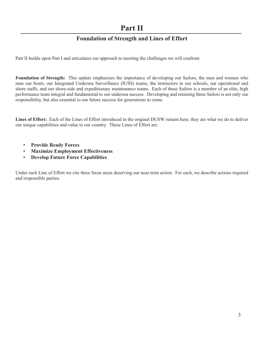# **Part II**

# **Foundation of Strength and Lines of Effort**

Part II builds upon Part I and articulates our approach to meeting the challenges we will confront.

**Foundation of Strength:** This update emphasizes the importance of developing our Sailors, the men and women who man our boats, our Integrated Undersea Surveillance (IUSS) teams, the instructors in our schools, our operational and shore staffs, and our shore-side and expeditionary maintenance teams. Each of these Sailors is a member of an elite, high performance team integral and fundamental to our undersea success. Developing and retaining these Sailors is not only our responsibility, but also essential to our future success for generations to come.

**Lines of Effort:** Each of the Lines of Effort introduced in the original DUSW remain here; they are what we do to deliver our unique capabilities and value to our country. These Lines of Effort are:

- **Provide Ready Forces**
- **Maximize Employment Effectiveness**
- **Develop Future Force Capabilities**

Under each Line of Effort we cite three focus areas deserving our near term action. For each, we describe actions required and responsible parties.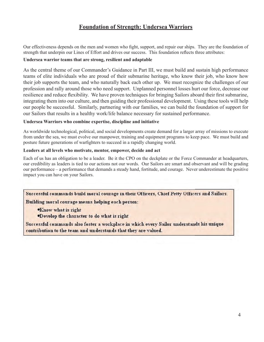# **Foundation of Strength: Undersea Warriors**

Our effectiveness depends on the men and women who fight, support, and repair our ships. They are the foundation of strength that underpin our Lines of Effort and drives our success. This foundation reflects three attributes:

#### **Undersea warrior teams that are strong, resilient and adaptable**

As the central theme of our Commander's Guidance in Part III, we must build and sustain high performance teams of elite individuals who are proud of their submarine heritage, who know their job, who know how their job supports the team, and who naturally back each other up. We must recognize the challenges of our profession and rally around those who need support. Unplanned personnel losses hurt our force, decrease our resilience and reduce flexibility. We have proven techniques for bringing Sailors aboard their first submarine, integrating them into our culture, and then guiding their professional development. Using these tools will help our people be successful. Similarly, partnering with our families, we can build the foundation of support for our Sailors that results in a healthy work/life balance necessary for sustained performance.

#### **Undersea Warriors who combine expertise, discipline and initiative**

As worldwide technological, political, and social developments create demand for a larger array of missions to execute from under the sea, we must evolve our manpower, training and equipment programs to keep pace. We must build and posture future generations of warfighters to succeed in a rapidly changing world.

#### **Leaders at all levels who motivate, mentor, empower, decide and act**

Each of us has an obligation to be a leader. Be it the CPO on the deckplate or the Force Commander at headquarters, our credibility as leaders is tied to our actions not our words. Our Sailors are smart and observant and will be grading our performance – a performance that demands a steady hand, fortitude, and courage. Never underestimate the positive impact you can have on your Sailors.

Successful commands build moral courage in their Officers, Chief Petty Officers and Sailors. Building moral courage means helping each person:

**Know what is right** 

.Develop the character to do what is right

Successful commands also foster a workplace in which every Sailor understands his unique contribution to the team and understands that they are valued.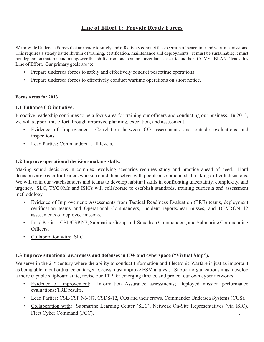# **Line of Effort 1: Provide Ready Forces**

We provide Undersea Forces that are ready to safely and effectively conduct the spectrum of peacetime and wartime missions. This requires a steady battle rhythm of training, certification, maintenance and deployments. It must be sustainable; it must not depend on material and manpower that shifts from one boat or surveillance asset to another. COMSUBLANT leads this Line of Effort. Our primary goals are to:

- Prepare undersea forces to safely and effectively conduct peacetime operations
- Prepare undersea forces to effectively conduct wartime operations on short notice.

### **Focus Areas for 2013**

### **1.1 Enhance CO initiative.**

Proactive leadership continues to be a focus area for training our officers and conducting our business. In 2013, we will support this effort through improved planning, execution, and assessment.

- Evidence of Improvement: Correlation between CO assessments and outside evaluations and inspections.
- Lead Parties: Commanders at all levels.

### **1.2 Improve operational decision-making skills.**

Making sound decisions in complex, evolving scenarios requires study and practice ahead of need. Hard decisions are easier for leaders who surround themselves with people also practiced at making difficult decisions. We will train our watchstanders and teams to develop habitual skills in confronting uncertainty, complexity, and urgency. SLC, TYCOMs and ISICs will collaborate to establish standards, training curricula and assessment methodology.

- Evidence of Improvement: Assessments from Tactical Readiness Evaluation (TRE) teams, deployment certification teams and Operational Commanders, incident reports/near misses, and DEVRON 12 assessments of deployed missons.
- Lead Parties: CSL/CSP N7, Submarine Group and Squadron Commanders, and Submarine Commanding **Officers**
- Collaboration with: SLC.

### **1.3 Improve situational awareness and defenses in EW and cyberspace ("Virtual Ship").**

We serve in the 21<sup>st</sup> century where the ability to conduct Information and Electronic Warfare is just as important as being able to put ordnance on target. Crews must improve ESM analysis. Support organizations must develop a more capable shipboard suite, revise our TTP for emerging threats, and protect our own cyber networks.

- Evidence of Improvement: Information Assurance assessments; Deployed mission performance evaluations; TRE results.
- Lead Parties: CSL/CSP N6/N7, CSDS-12, COs and their crews, Commander Undersea Systems (CUS).
- Collaboration with: Submarine Learning Center (SLC), Network On-Site Representatives (via ISIC), Fleet Cyber Command (FCC).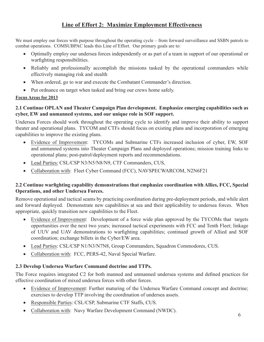# **Line of Effort 2: Maximize Employment Effectiveness**

We must employ our forces with purpose throughout the operating cycle – from forward surveillance and SSBN patrols to combat operations. COMSUBPAC leads this Line of Effort. Our primary goals are to:

- Optimally employ our undersea forces independently or as part of a team in support of our operational or warfighting responsibilities.
- Reliably and professionally accomplish the missions tasked by the operational commanders while effectively managing risk and stealth
- When ordered, go to war and execute the Combatant Commander's direction.
- Put ordnance on target when tasked and bring our crews home safely.

# **Focus Areas for 2013**

# **2.1 Continue OPLAN and Theater Campaign Plan development. Emphasize emerging capabilities such as cyber, EW and unmanned systems, and our unique role in SOF support.**

Undersea Forces should work throughout the operating cycle to identify and improve their ability to support theater and operational plans. TYCOM and CTFs should focus on existing plans and incorporation of emerging capabilities to improve the existing plans.

- Evidence of Improvement: TYCOMs and Submarine CTFs increased inclusion of cyber, EW, SOF and unmanned systems into Theater Campaign Plans and deployed operations; mission training links to operational plans; post-patrol/deployment reports and recommendations.
- Lead Parties: CSL/CSP N3/N5/N8/N9, CTF Commanders, CUS,
- Collaboration with: Fleet Cyber Command (FCC), NAVSPECWARCOM, N2N6F21

# **2.2 Continue warfighting capability demonstrations that emphasize coordination with Allies, FCC, Special Operations, and other Undersea Forces.**

Remove operational and tactical seams by practicing coordination during pre-deployment periods, and while alert and forward deployed. Demonstrate new capabilities at sea and their applicability to undersea forces. When appropriate, quickly transition new capabilities to the Fleet.

- Evidence of Improvement: Development of a force wide plan approved by the TYCOMs that targets opportunities over the next two years; increased tactical experiments with FCC and Tenth Fleet; linkage of UUV and UAV demonstrations to warfighting capabilities; continued growth of Allied and SOF coordination; exchange billets in the Cyber/EW area.
- Lead Parties: CSL/CSP N1/N3/N7N8, Group Commanders, Squadron Commodores, CUS.
- Collaboration with: FCC, PERS-42, Naval Special Warfare.

# **2.3 Develop Undersea Warfare Command doctrine and TTPs.**

The Force requires integrated C2 for both manned and unmanned undersea systems and defined practices for effective coordination of mixed undersea forces with other forces.

- Evidence of Improvement: Further maturing of the Undersea Warfare Command concept and doctrine; exercises to develop TTP involving the coordination of undersea assets.
- Responsible Parties: CSL/CSP, Submarine CTF Staffs, CUS.
- Collaboration with: Navy Warfare Development Command (NWDC). 6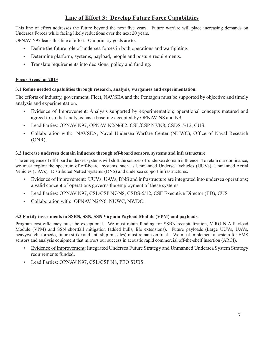# **Line of Effort 3: Develop Future Force Capabilities**

This line of effort addresses the future beyond the next five years. Future warfare will place increasing demands on Undersea Forces while facing likely reductions over the next 20 years.

OPNAV N97 leads this line of effort. Our primary goals are to:

- Define the future role of undersea forces in both operations and warfighting.
- Determine platform, systems, payload, people and posture requirements.
- Translate requirements into decisions, policy and funding.

#### **Focus Areas for 2013**

### **3.1 Refine needed capabilities through research, analysis, wargames and experimentation.**

The efforts of industry, government, Fleet, NAVSEA and the Pentagon must be supported by objective and timely analysis and experimentation.

- Evidence of Improvement: Analysis supported by experimentation; operational concepts matured and agreed to so that analysis has a baseline accepted by OPNAV N8 and N9.
- Lead Parties: OPNAV N97, OPNAV N2/N6F2, CSL/CSP N7/N8, CSDS-5/12, CUS.
- Collaboration with: NAVSEA, Naval Undersea Warfare Center (NUWC), Office of Naval Research (ONR).

#### **3.2 Increase undersea domain influence through off-board sensors, systems and infrastructure**.

The emergence of off-board undersea systems will shift the sources of undersea domain influence. To retain our dominance, we must exploit the spectrum of off-board systems, such as Unmanned Undersea Vehicles (UUVs), Unmanned Aerial Vehicles (UAVs), Distributed Netted Systems (DNS) and undersea support infrastructures.

- Evidence of Improvement: UUVs, UAVs, DNS and infrastructure are integrated into undersea operations; a valid concept of operations governs the employment of these systems.
- Lead Parties: OPNAV N97, CSL/CSP N7/N8, CSDS-5/12, CSF Executive Director (ED), CUS
- Collaboration with: OPNAV N2/N6, NUWC, NWDC.

### **3.3 Fortify investments in SSBN, SSN, SSN Virginia Payload Module (VPM) and payloads.**

Program cost-efficiency must be exceptional. We must retain funding for SSBN recapitalization, VIRGINIA Payload Module (VPM) and SSN shortfall mitigation (added hulls, life extensions). Future payloads (Large UUVs, UAVs, heavyweight torpedo, future strike and anti-ship missiles) must remain on track. We must implement a system for EMS sensors and analysis equipment that mirrors our success in acoustic rapid commercial off-the-shelf insertion (ARCI).

- Evidence of Improvement: Integrated Undersea Future Strategy and Unmanned Undersea System Strategy requirements funded.
- Lead Parties: OPNAV N97, CSL/CSP N8, PEO SUBS.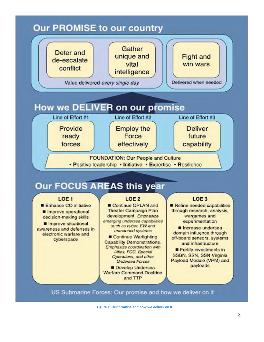

US Submarine Forces: Our promise and how we deliver on it

**Figure 1: Our promise and how we deliver on it**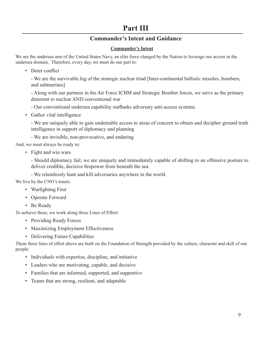# **Part III**

# **Commander's Intent and Guidance**

## **Commander's Intent**

We are the undersea arm of the United States Navy, an elite force charged by the Nation to leverage our access in the undersea domain. Therefore, every day, we must do our part to:

• Deter conflict

 - We are the survivable leg of the strategic nuclear triad [Inter-continental ballistic missiles, bombers, and submarines]

 - Along with our partners in the Air Force ICBM and Strategic Bomber forces, we serve as the primary deterrent to nuclear AND conventional war

- Our conventional undersea capability outflanks adversary anti-access systems.

• Gather vital intelligence

 - We are uniquely able to gain undeniable access to areas of concern to obtain and decipher ground truth intelligence in support of diplomacy and planning

- We are invisible, non-provocative, and enduring

And, we must always be ready to:

• Fight and win wars

 - Should diplomacy fail, we are uniquely and immediately capable of shifting to an offensive posture to deliver credible, decisive firepower from beneath the sea.

- We relentlessly hunt and kill adversaries anywhere in the world

We live by the CNO's tenets:

- Warfighting First
- Operate Forward
- Be Ready

To achieve these, we work along three Lines of Effort:

- Providing Ready Forces
- Maximizing Employment Effectiveness
- Delivering Future Capabilities

These three lines of effort above are built on the Foundation of Strength provided by the culture, character and skill of our people:

- Individuals with expertise, discipline, and initiative
- Leaders who are motivating, capable, and decisive
- Families that are informed, supported, and supportive
- Teams that are strong, resilient, and adaptable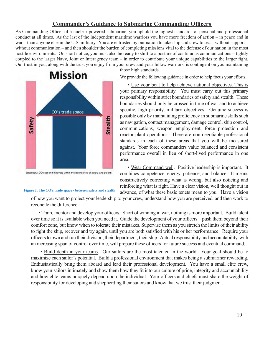# **Commander's Guidance to Submarine Commanding Officers**

As Commanding Officer of a nuclear-powered submarine, you uphold the highest standards of personal and professional conduct at all times. As the last of the independent maritime warriors you have more freedom of action – in peace and in war – than anyone else in the U.S. military. You are entrusted by our nation to take ship and crew to sea – without support – without communication – and then shoulder the burden of completing missions vital to the defense of our nation in the most hostile environments. On short notice, you must also be ready to shift to a posture of continuous communications – tightly coupled to the larger Navy, Joint or Interagency team – in order to contribute your unique capabilities to the larger fight. Our trust in you, along with the trust you enjoy from your crew and your fellow warriors, is contingent on you maintaining those high standards.



#### **Figure 2: The CO's trade space - between safety and stealth**

We provide the following guidance in order to help focus your efforts.

• Use your boat to help achieve national objectives. This is your primary responsibility. You must carry out this primary responsibility within strict boundaries of safety and stealth. These boundaries should only be crossed in time of war and to achieve specific, high priority, military objectives. Genuine success is possible only by maintaining proficiency in submarine skills such as navigation, contact management, damage control, ship control, communications, weapon employment, force protection and reactor plant operations. There are non-negotiable professional standards in each of these areas that you will be measured against. Your force commanders value balanced and consistent performance overall in lieu of short-lived performance in one area.

• Wear Command well. Positive leadership is important. It combines competence, energy, patience, and balance. It means constructively correcting what is wrong, but also noticing and reinforcing what is right. Have a clear vision, well thought out in advance, of what these basic tenets mean to you. Have a vision

of how you want to project your leadership to your crew, understand how you are perceived, and then work to reconcile the difference.

• Train, mentor and develop your officers. Short of winning in war, nothing is more important. Build talent over time so it is available when you need it. Guide the development of your officers – push them beyond their comfort zone, but know when to tolerate their mistakes. Supervise them as you stretch the limits of their ability to fight the ship, recover and try again, until you are both satisfied with his or her performance. Require your officers to own and run their division, their department, their ship. Actual responsibility and accountability, with an increasing span of control over time, will prepare these officers for future success and eventual command.

 • Build depth in your teams. Our sailors are the most talented in the world. Your goal should be to maximize each sailor's potential. Build a professional environment that makes being a submariner rewarding. Enthusiastically bring them aboard and lead their professional development. You have a small elite crew, know your sailors intimately and show them how they fit into our culture of pride, integrity and accountability and how elite teams uniquely depend upon the individual. Your officers and chiefs must share the weight of responsibility for developing and shepherding their sailors and know that we trust their judgment.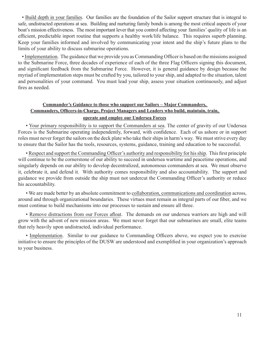• Build depth in your families. Our families are the foundation of the Sailor support structure that is integral to safe, undistracted operations at sea. Building and nurturing family bonds is among the most critical aspects of your boat's mission effectiveness. The most important lever that you control affecting your families' quality of life is an efficient, predictable inport routine that supports a healthy work/life balance. This requires superb planning. Keep your families informed and involved by communicating your intent and the ship's future plans to the limits of your ability to discuss submarine operations.

• Implementation. The guidance that we provide you as Commanding Officer is based on the missions assigned to the Submarine Force, three decades of experience of each of the three Flag Officers signing this document, and significant feedback from the Submarine Force. However, it is general guidance by design because the myriad of implementation steps must be crafted by you, tailored to your ship, and adapted to the situation, talent and personalities of your command. You must lead your ship, assess your situation continuously, and adjust fires as needed.

# **Commander's Guidance to those who support our Sailors – Major Commanders, Commanders, Officers-in-Charge, Project Managers and Leaders who build, maintain, train, operate and employ our Undersea Forces**

• Your primary responsibility is to support the Commanders at sea. The center of gravity of our Undersea Forces is the Submarine operating independently, forward, with confidence. Each of us ashore or in support roles must never forget the sailors on the deck plate who take their ships in harm's way. We must strive every day to ensure that the Sailor has the tools, resources, systems, guidance, training and education to be successful.

• Respect and support the Commanding Officer's authority and responsibility for his ship. This first principle will continue to be the cornerstone of our ability to succeed in undersea wartime and peacetime operations, and singularly depends on our ability to develop decentralized, autonomous commanders at sea. We must observe it, celebrate it, and defend it. With authority comes responsibility and also accountability. The support and guidance we provide from outside the ship must not undercut the Commanding Officer's authority or reduce his accountability.

• We are made better by an absolute commitment to collaboration, communications and coordination across, around and through organizational boundaries. These virtues must remain as integral parts of our fiber, and we must continue to build mechanisms into our processes to sustain and ensure all three.

• Remove distractions from our Forces afloat.The demands on our undersea warriors are high and will grow with the advent of new mission areas. We must never forget that our submarines are small, elite teams that rely heavily upon undistracted, individual performance.

• Implementation. Similar to our guidance to Commanding Officers above, we expect you to exercise initiative to ensure the principles of the DUSW are understood and exemplified in your organization's approach to your business.